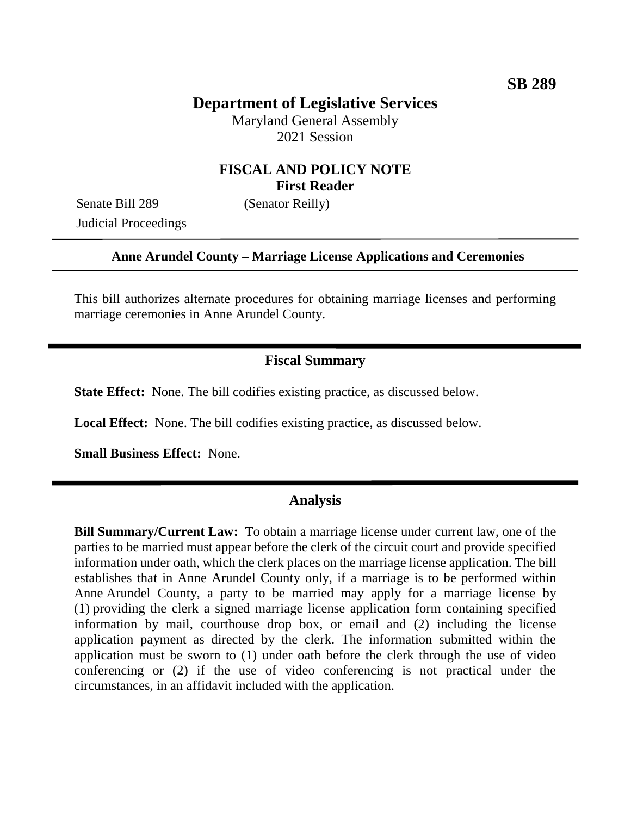# **Department of Legislative Services**

Maryland General Assembly 2021 Session

## **FISCAL AND POLICY NOTE First Reader**

Senate Bill 289 (Senator Reilly) Judicial Proceedings

### **Anne Arundel County – Marriage License Applications and Ceremonies**

This bill authorizes alternate procedures for obtaining marriage licenses and performing marriage ceremonies in Anne Arundel County.

### **Fiscal Summary**

**State Effect:** None. The bill codifies existing practice, as discussed below.

**Local Effect:** None. The bill codifies existing practice, as discussed below.

**Small Business Effect:** None.

### **Analysis**

**Bill Summary/Current Law:** To obtain a marriage license under current law, one of the parties to be married must appear before the clerk of the circuit court and provide specified information under oath, which the clerk places on the marriage license application. The bill establishes that in Anne Arundel County only, if a marriage is to be performed within Anne Arundel County, a party to be married may apply for a marriage license by (1) providing the clerk a signed marriage license application form containing specified information by mail, courthouse drop box, or email and (2) including the license application payment as directed by the clerk. The information submitted within the application must be sworn to (1) under oath before the clerk through the use of video conferencing or (2) if the use of video conferencing is not practical under the circumstances, in an affidavit included with the application.